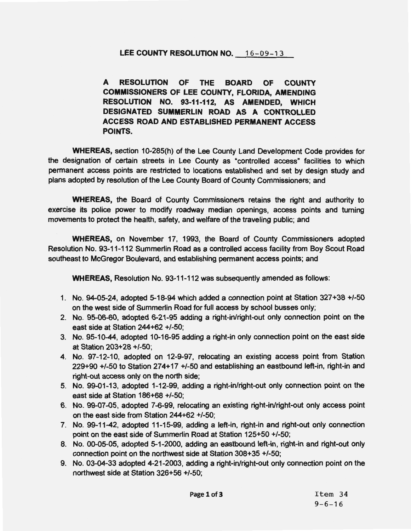## LEE COUNTY RESOLUTION NO. 16-09-13

**A RESOLUTION OF THE BOARD OF COUNTY COMMISSIONERS OF LEE COUNTY, FLORIDA, AMENDING RESOLUTION NO. 93-11-112, AS AMENDED, WHICH DESIGNATED SUMMERLIN ROAD AS A CONTROLLED ACCESS ROAD AND ESTABLISHED PERMANENT ACCESS POINTS.** 

**WHEREAS,** section 10-285(h) of the Lee County Land Development Code provides for the designation of certain streets in Lee County as "controlled access" facilities to which permanent access points are restricted to locations established and set by design study and plans adopted by resolution of the Lee County Board of County Commissioners; and

**WHEREAS,** the Board of County Commissioners retains the right and authority to exercise its police power to modify roadway median openings, access points and turning movements to protect the health, safety, and welfare of the traveling public; and

**WHEREAS,** on November 17, 1993, the Board of County Commissioners adopted Resolution No. 93-11-112 Summerlin Road as a controlled access facility from Boy Scout Road southeast to McGregor Boulevard, and establishing permanent access points; and

**WHEREAS,** Resolution No. 93-11-112 was subsequently amended as follows:

- 1. No. 94-05-24, adopted 5-18-94 which added a connection point at Station 327+38 +/-50 on the west side of Summerlin Road for full access by school busses only;
- 2. No. 95-06-60, adopted 6-21-95 adding a right-in/right-out only connection point on the east side at Station 244+62 +/-50;
- 3. No. 95-10-44, adopted 10-16-95 adding a right-in only connection point on the east side at Station 203+28 +/-50;
- 4. No. 97-12-10, adopted on 12-9-97, relocating an existing access point from Station 229+90 +/-50 to Station 274+17 +/-50 and establishing an eastbound left-in, right-in and right-out access only on the north side;
- 5. No. 99-01-13, adopted 1-12-99, adding a right-in/right-out only connection point on the east side at Station 186+68 +/-50;
- 6. No. 99-07-05, adopted 7-6-99, relocating an existing right-in/right-out only access point on the east side from Station 244+62 +/-50;
- 7. No. 99-11-42, adopted 11-15-99, adding a left-in, right-in and right-out only connection point on the east side of Summerlin Road at Station 125+50 +/-50;
- 8. No. 00-05-05, adopted 5-1 -2000, adding an eastbound left-in, right-in and right-out only connection point on the northwest side at Station 308+35 +/-50;
- 9. No. 03-04-33 adopted 4-21-2003, adding a right-in/right-out only connection point on the northwest side at Station 326+56 +/-50;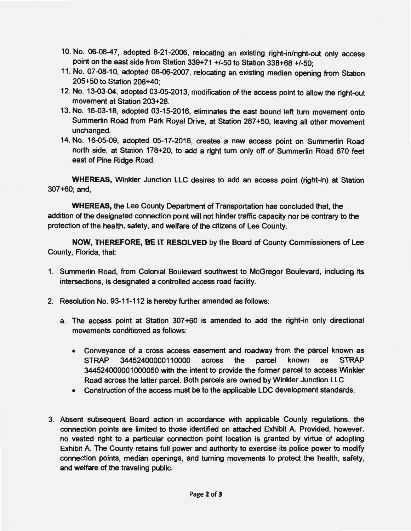- 10. No. 06-08-47, adopted 8-21-2006, relocating an existing right-in/right-out only access point on the east side from Station 339+71 +/-50 to Station 338+68 +/-50·
- ' 11. No. 07-08-10, adopted 08-06-2007, relocating an existing median opening from Station 205+50 to Station 206+40;
- 12. No. 13-03-04, adopted 03-05-2013, modification of the access point to allow the right-out movement at Station 203+28.
- 13. No. 16-03-18, adopted 03-15-2016, eliminates the east bound left tum movement onto Summerlin Road from Park Royal Drive, at Station 287+50, leaving all other movement unchanged.
- 14. No. 16-05-09, adopted 05-17-2016, creates a new access point on Summerlin Road north side, at Station 178+20, to add a right tum only off of Summerlin Road 670 feet east of Pine Ridge Road.

**WHEREAS,** Winkler Junction LLC desires to add an access point (right-in) at Station 307+60; and,

**WHEREAS,** the Lee County Department of Transportation has concluded that, the addition of the designated connection point will not hinder traffic capacity nor be contrary to the protection of the health, safety, and welfare of the citizens of Lee County.

**NOW, THEREFORE, BE IT RESOLVED** by the Board of County Commissioners of Lee County, Florida, that:

- 1. Summerlin Road, from Colonial Boulevard southwest to McGregor Boulevard, including its intersections, is designated a controlled access road facility.
- 2. Resolution No. 93-11-112 is hereby further amended as follows:
	- a. The access point at Station 307+60 is amended to add the right-in only directional movements conditioned as follows:
		- Conveyance of a cross access easement and roadway from the parcel known as STRAP 34452400000110000 across the parcel known as STRAP 344524000001000050 with the intent to provide the former parcel to access Winkler Road across the latter parcel. Both parcels are owned by Winkler Junction LLC.
		- Construction of the access must be to the applicable LDC development standards.
- 3. Absent subsequent Board action in accordance with applicable County regulations, the connection points are limited to those identified on attached Exhibit A. Provided, however, no vested right to a particular connection point location is granted by virtue of adopting Exhibit A. The County retains full power and authority to exercise its police power to modify connection points, median openings, and turning movements to protect the health, safety, and welfare of the traveling public.